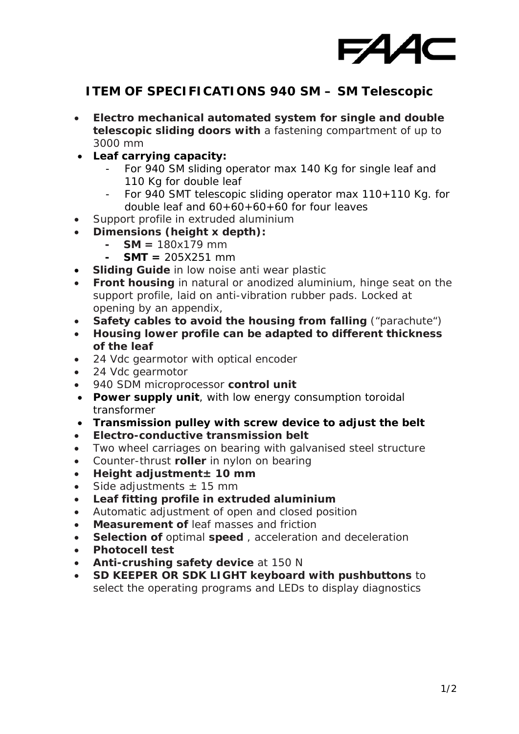

## **ITEM OF SPECIFICATIONS 940 SM – SM Telescopic**

- **Electro mechanical automated system for single and double telescopic sliding doors with** a fastening compartment of up to 3000 mm
- **Leaf carrying capacity:**
	- For 940 SM sliding operator max 140 Kg for single leaf and 110 Kg for double leaf
	- For 940 SMT telescopic sliding operator max 110+110 Kg. for double leaf and 60+60+60+60 for four leaves
- Support profile in extruded aluminium
- **Dimensions (height x depth):**
	- **SM =**  $180x179$  **mm**
	- $SMT = 205X251$  mm
- **Sliding Guide** in low noise anti wear plastic
- **Front housing** in natural or anodized aluminium, hinge seat on the support profile, laid on anti-vibration rubber pads. Locked at opening by an appendix,
- **Safety cables to avoid the housing from falling** ("parachute")
- **Housing lower profile can be adapted to different thickness of the leaf**
- 24 Vdc gearmotor with optical encoder
- 24 Vdc gearmotor
- 940 SDM microprocessor **control unit**
- **Power supply unit**, with low energy consumption toroidal transformer
- **Transmission pulley with screw device to adjust the belt**
- **Electro-conductive transmission belt**
- Two wheel carriages on bearing with galvanised steel structure
- Counter-thrust **roller** in nylon on bearing
- **Height adjustment± 10 mm**
- Side adjustments  $\pm$  15 mm
- **Leaf fitting profile in extruded aluminium**
- Automatic adjustment of open and closed position
- **Measurement of** leaf masses and friction
- **Selection of** optimal **speed** , acceleration and deceleration
- **Photocell test**
- **Anti-crushing safety device** at 150 N
- **SD KEEPER OR SDK LIGHT keyboard with pushbuttons** to select the operating programs and LEDs to display diagnostics